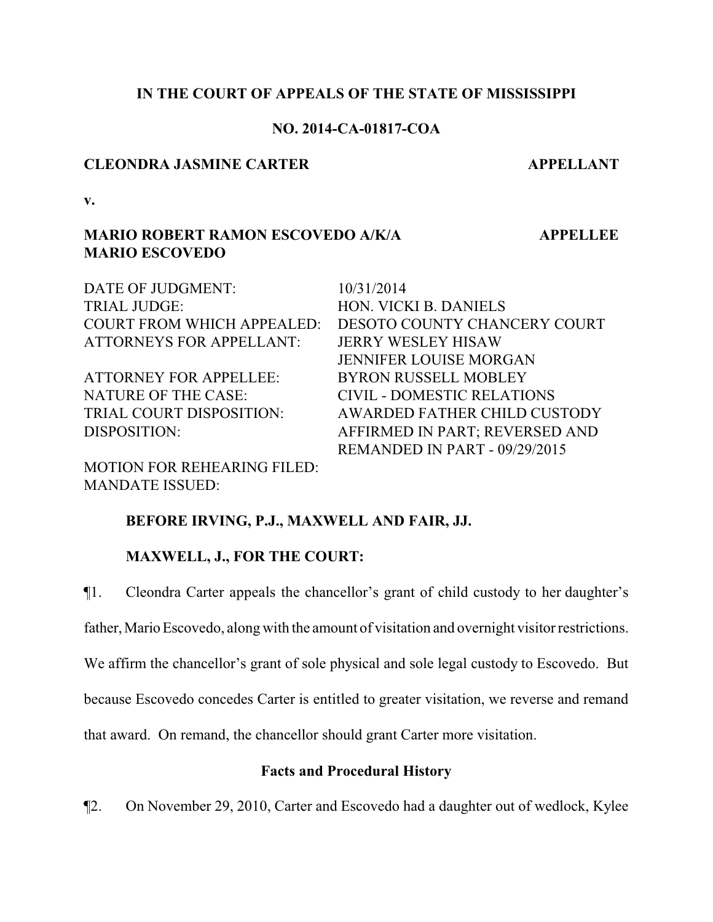## **IN THE COURT OF APPEALS OF THE STATE OF MISSISSIPPI**

## **NO. 2014-CA-01817-COA**

## **CLEONDRA JASMINE CARTER APPELLANT**

**v.**

# **MARIO ROBERT RAMON ESCOVEDO A/K/A MARIO ESCOVEDO**

DATE OF JUDGMENT: 10/31/2014 TRIAL JUDGE: HON. VICKI B. DANIELS COURT FROM WHICH APPEALED: DESOTO COUNTY CHANCERY COURT ATTORNEYS FOR APPELLANT: JERRY WESLEY HISAW JENNIFER LOUISE MORGAN ATTORNEY FOR APPELLEE: BYRON RUSSELL MOBLEY NATURE OF THE CASE: CIVIL - DOMESTIC RELATIONS TRIAL COURT DISPOSITION: AWARDED FATHER CHILD CUSTODY DISPOSITION: AFFIRMED IN PART; REVERSED AND REMANDED IN PART - 09/29/2015

MOTION FOR REHEARING FILED: MANDATE ISSUED:

# **BEFORE IRVING, P.J., MAXWELL AND FAIR, JJ.**

# **MAXWELL, J., FOR THE COURT:**

¶1. Cleondra Carter appeals the chancellor's grant of child custody to her daughter's

father, Mario Escovedo, along with the amount of visitation and overnight visitor restrictions.

We affirm the chancellor's grant of sole physical and sole legal custody to Escovedo. But

because Escovedo concedes Carter is entitled to greater visitation, we reverse and remand

that award. On remand, the chancellor should grant Carter more visitation.

# **Facts and Procedural History**

¶2. On November 29, 2010, Carter and Escovedo had a daughter out of wedlock, Kylee

 **APPELLEE**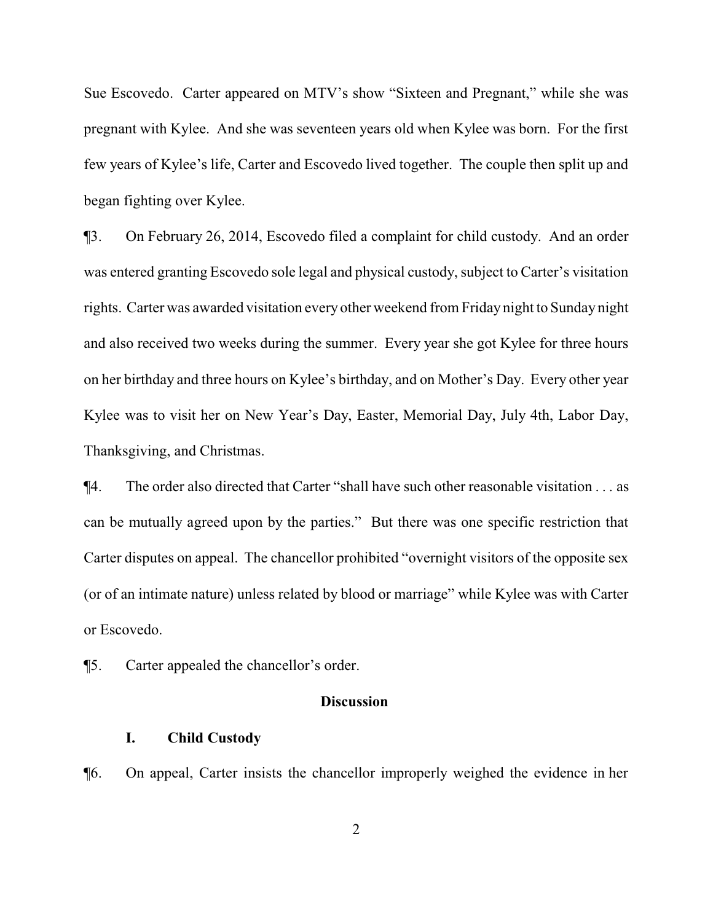Sue Escovedo. Carter appeared on MTV's show "Sixteen and Pregnant," while she was pregnant with Kylee. And she was seventeen years old when Kylee was born. For the first few years of Kylee's life, Carter and Escovedo lived together. The couple then split up and began fighting over Kylee.

¶3. On February 26, 2014, Escovedo filed a complaint for child custody. And an order was entered granting Escovedo sole legal and physical custody, subject to Carter's visitation rights. Carter was awarded visitation every other weekend from Friday night to Sunday night and also received two weeks during the summer. Every year she got Kylee for three hours on her birthday and three hours on Kylee's birthday, and on Mother's Day. Every other year Kylee was to visit her on New Year's Day, Easter, Memorial Day, July 4th, Labor Day, Thanksgiving, and Christmas.

¶4. The order also directed that Carter "shall have such other reasonable visitation . . . as can be mutually agreed upon by the parties." But there was one specific restriction that Carter disputes on appeal. The chancellor prohibited "overnight visitors of the opposite sex (or of an intimate nature) unless related by blood or marriage" while Kylee was with Carter or Escovedo.

¶5. Carter appealed the chancellor's order.

### **Discussion**

### **I. Child Custody**

¶6. On appeal, Carter insists the chancellor improperly weighed the evidence in her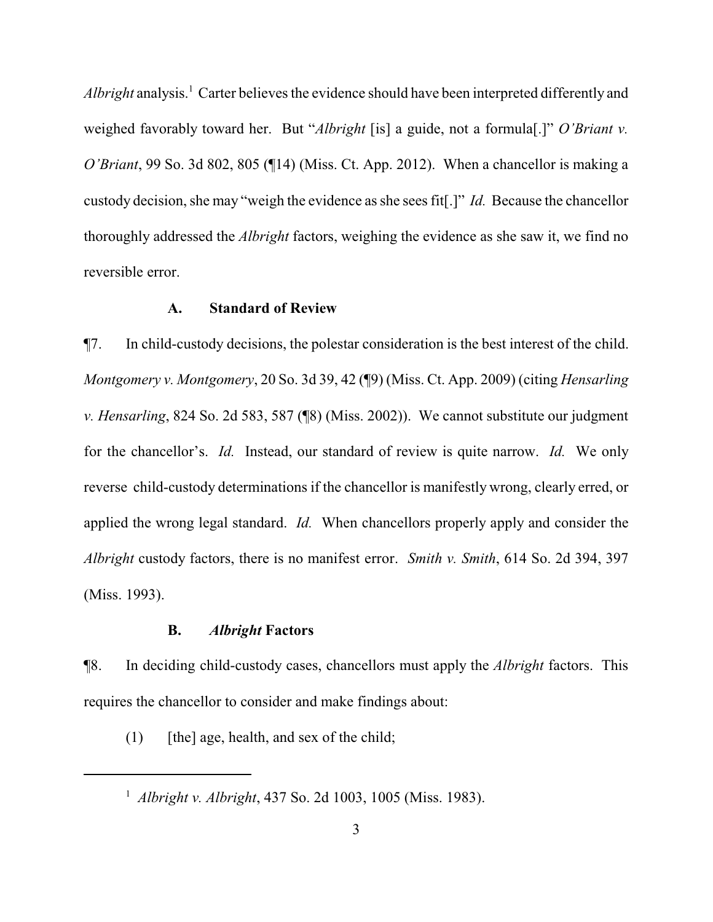*Albright* analysis.<sup>1</sup> Carter believes the evidence should have been interpreted differently and weighed favorably toward her. But "*Albright* [is] a guide, not a formula[.]" *O'Briant v. O'Briant*, 99 So. 3d 802, 805 (¶14) (Miss. Ct. App. 2012). When a chancellor is making a custody decision, she may "weigh the evidence as she sees fit[.]" *Id.* Because the chancellor thoroughly addressed the *Albright* factors, weighing the evidence as she saw it, we find no reversible error.

### **A. Standard of Review**

¶7. In child-custody decisions, the polestar consideration is the best interest of the child. *Montgomery v. Montgomery*, 20 So. 3d 39, 42 (¶9) (Miss. Ct. App. 2009) (citing *Hensarling v. Hensarling*, 824 So. 2d 583, 587 (¶8) (Miss. 2002)). We cannot substitute our judgment for the chancellor's. *Id.* Instead, our standard of review is quite narrow. *Id.* We only reverse child-custody determinations if the chancellor is manifestly wrong, clearly erred, or applied the wrong legal standard. *Id.* When chancellors properly apply and consider the *Albright* custody factors, there is no manifest error. *Smith v. Smith*, 614 So. 2d 394, 397 (Miss. 1993).

### **B.** *Albright* **Factors**

¶8. In deciding child-custody cases, chancellors must apply the *Albright* factors. This requires the chancellor to consider and make findings about:

 $(1)$  [the] age, health, and sex of the child;

<sup>1</sup>  *Albright v. Albright*, 437 So. 2d 1003, 1005 (Miss. 1983).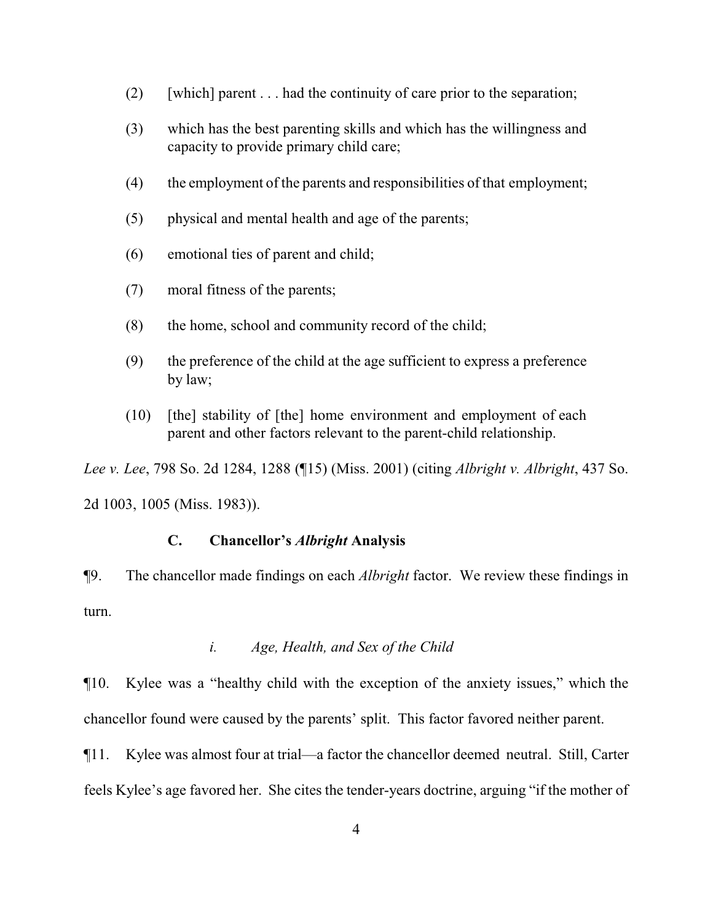- (2) [which] parent  $\dots$  had the continuity of care prior to the separation;
- (3) which has the best parenting skills and which has the willingness and capacity to provide primary child care;
- (4) the employment of the parents and responsibilities of that employment;
- (5) physical and mental health and age of the parents;
- (6) emotional ties of parent and child;
- (7) moral fitness of the parents;
- (8) the home, school and community record of the child;
- (9) the preference of the child at the age sufficient to express a preference by law;
- (10) [the] stability of [the] home environment and employment of each parent and other factors relevant to the parent-child relationship.

*Lee v. Lee*, 798 So. 2d 1284, 1288 (¶15) (Miss. 2001) (citing *Albright v. Albright*, 437 So. 2d 1003, 1005 (Miss. 1983)).

## **C. Chancellor's** *Albright* **Analysis**

¶9. The chancellor made findings on each *Albright* factor. We review these findings in turn.

## *i. Age, Health, and Sex of the Child*

¶10. Kylee was a "healthy child with the exception of the anxiety issues," which the chancellor found were caused by the parents' split. This factor favored neither parent.

¶11. Kylee was almost four at trial—a factor the chancellor deemed neutral. Still, Carter feels Kylee's age favored her. She cites the tender-years doctrine, arguing "if the mother of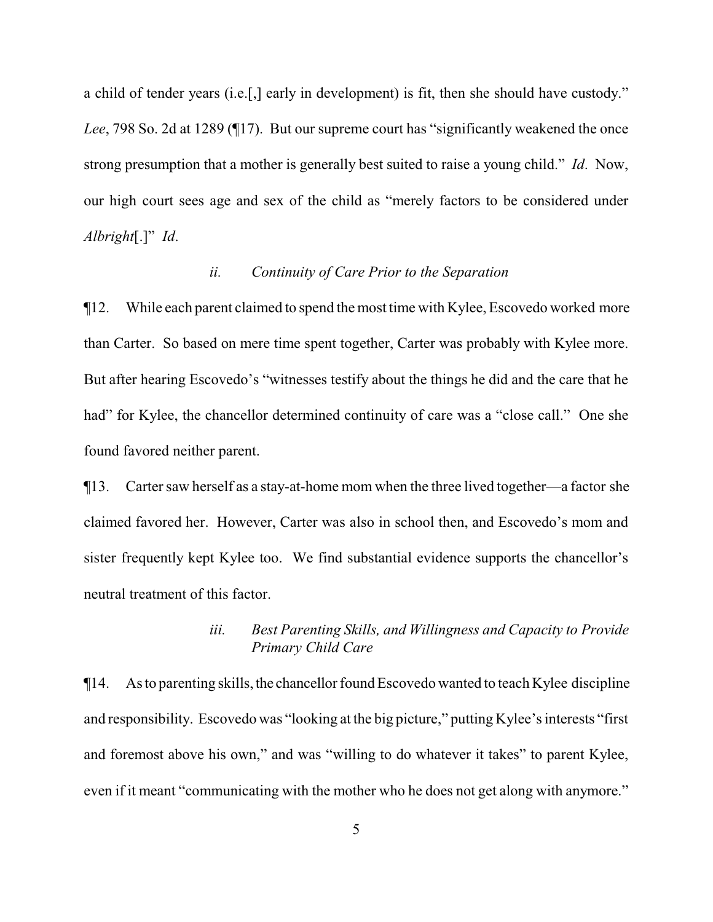a child of tender years (i.e.[,] early in development) is fit, then she should have custody." *Lee*, 798 So. 2d at 1289 (¶17). But our supreme court has "significantly weakened the once strong presumption that a mother is generally best suited to raise a young child." *Id*. Now, our high court sees age and sex of the child as "merely factors to be considered under *Albright*[.]" *Id*.

### *ii. Continuity of Care Prior to the Separation*

¶12. While each parent claimed to spend the most time with Kylee, Escovedo worked more than Carter. So based on mere time spent together, Carter was probably with Kylee more. But after hearing Escovedo's "witnesses testify about the things he did and the care that he had" for Kylee, the chancellor determined continuity of care was a "close call." One she found favored neither parent.

¶13. Carter saw herself as a stay-at-home mom when the three lived together—a factor she claimed favored her. However, Carter was also in school then, and Escovedo's mom and sister frequently kept Kylee too. We find substantial evidence supports the chancellor's neutral treatment of this factor.

## *iii. Best Parenting Skills, and Willingness and Capacity to Provide Primary Child Care*

 $\P$ 14. As to parenting skills, the chancellor found Escovedo wanted to teach Kylee discipline and responsibility. Escovedo was "looking at the big picture," putting Kylee's interests "first and foremost above his own," and was "willing to do whatever it takes" to parent Kylee, even if it meant "communicating with the mother who he does not get along with anymore."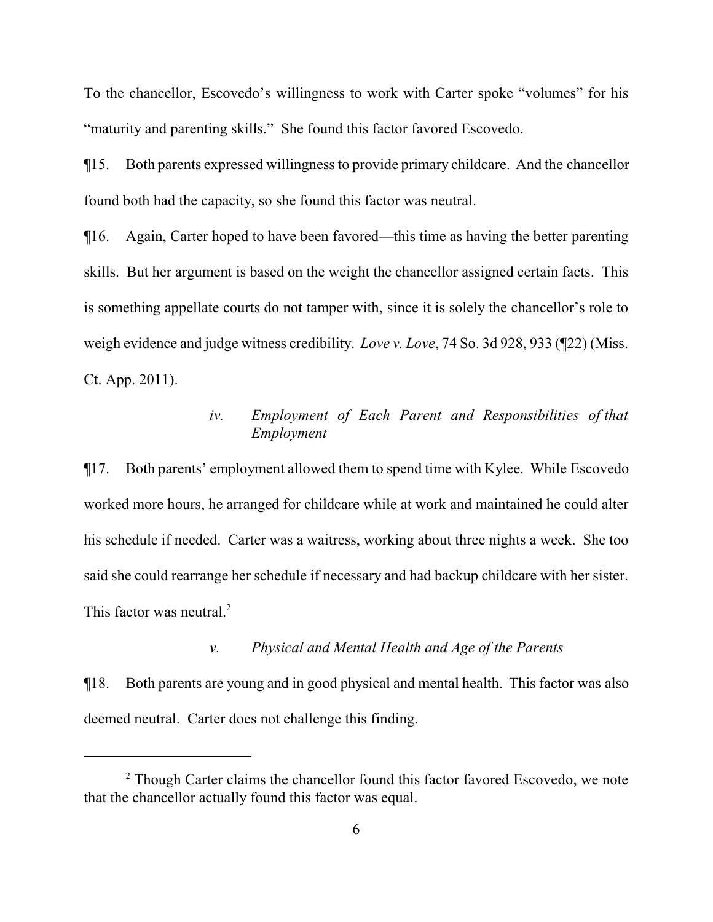To the chancellor, Escovedo's willingness to work with Carter spoke "volumes" for his "maturity and parenting skills." She found this factor favored Escovedo.

¶15. Both parents expressed willingness to provide primary childcare. And the chancellor found both had the capacity, so she found this factor was neutral.

¶16. Again, Carter hoped to have been favored—this time as having the better parenting skills. But her argument is based on the weight the chancellor assigned certain facts. This is something appellate courts do not tamper with, since it is solely the chancellor's role to weigh evidence and judge witness credibility. *Love v. Love*, 74 So. 3d 928, 933 (¶22) (Miss. Ct. App. 2011).

## *iv. Employment of Each Parent and Responsibilities of that Employment*

¶17. Both parents' employment allowed them to spend time with Kylee. While Escovedo worked more hours, he arranged for childcare while at work and maintained he could alter his schedule if needed. Carter was a waitress, working about three nights a week. She too said she could rearrange her schedule if necessary and had backup childcare with her sister. This factor was neutral.<sup>2</sup>

### *v. Physical and Mental Health and Age of the Parents*

¶18. Both parents are young and in good physical and mental health. This factor was also deemed neutral. Carter does not challenge this finding.

<sup>&</sup>lt;sup>2</sup> Though Carter claims the chancellor found this factor favored Escovedo, we note that the chancellor actually found this factor was equal.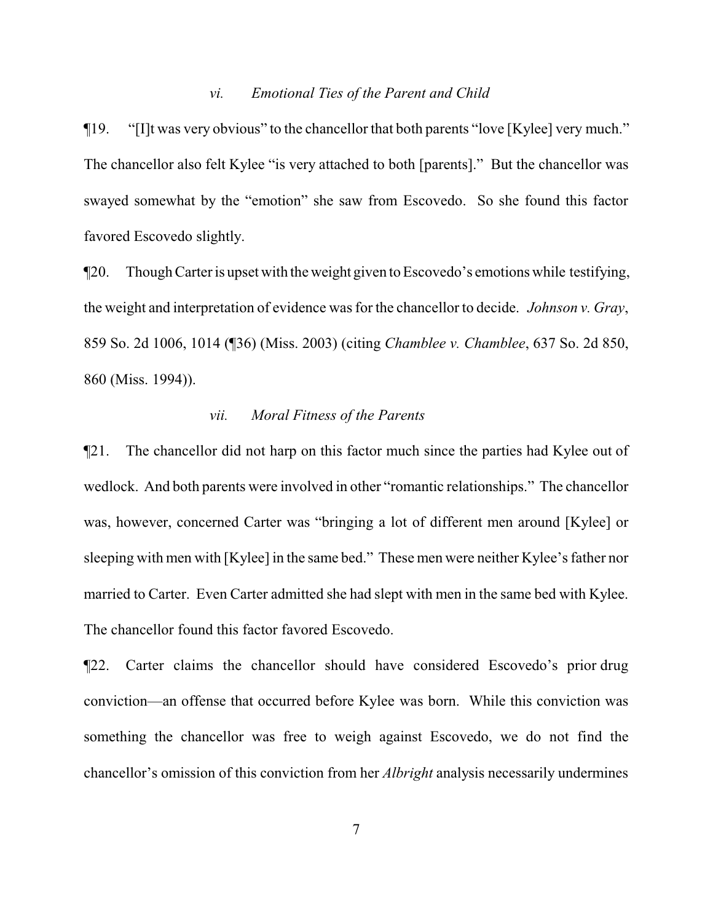#### *vi. Emotional Ties of the Parent and Child*

¶19. "[I]t was very obvious" to the chancellor that both parents "love [Kylee] very much." The chancellor also felt Kylee "is very attached to both [parents]." But the chancellor was swayed somewhat by the "emotion" she saw from Escovedo. So she found this factor favored Escovedo slightly.

¶20. Though Carter is upset with the weight given to Escovedo's emotions while testifying, the weight and interpretation of evidence was for the chancellor to decide. *Johnson v. Gray*, 859 So. 2d 1006, 1014 (¶36) (Miss. 2003) (citing *Chamblee v. Chamblee*, 637 So. 2d 850, 860 (Miss. 1994)).

#### *vii. Moral Fitness of the Parents*

¶21. The chancellor did not harp on this factor much since the parties had Kylee out of wedlock. And both parents were involved in other "romantic relationships." The chancellor was, however, concerned Carter was "bringing a lot of different men around [Kylee] or sleeping with men with [Kylee] in the same bed." These men were neither Kylee's father nor married to Carter. Even Carter admitted she had slept with men in the same bed with Kylee. The chancellor found this factor favored Escovedo.

¶22. Carter claims the chancellor should have considered Escovedo's prior drug conviction—an offense that occurred before Kylee was born. While this conviction was something the chancellor was free to weigh against Escovedo, we do not find the chancellor's omission of this conviction from her *Albright* analysis necessarily undermines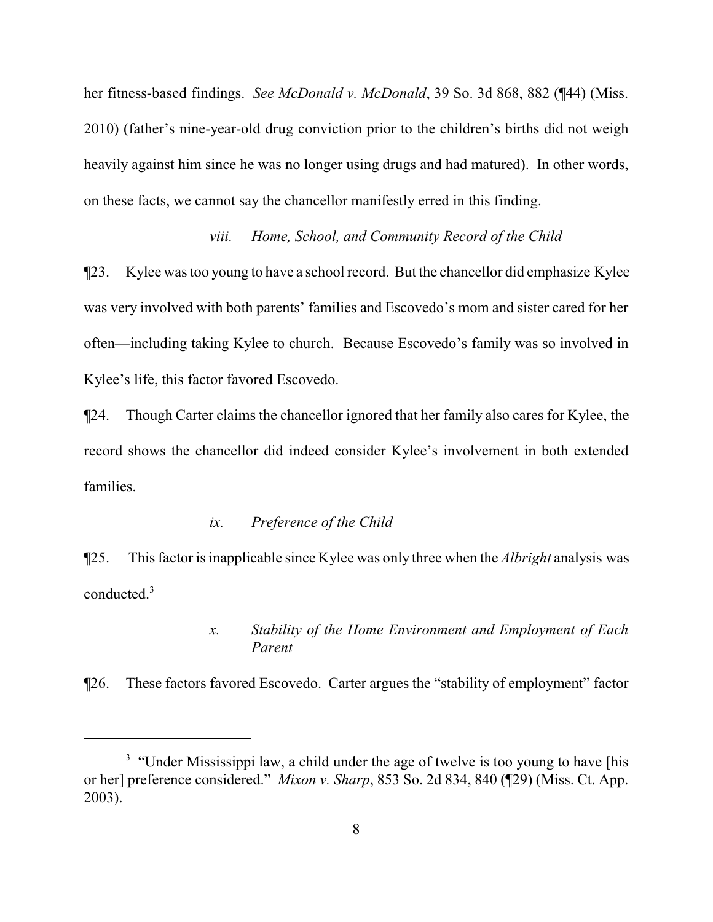her fitness-based findings. *See McDonald v. McDonald*, 39 So. 3d 868, 882 (¶44) (Miss. 2010) (father's nine-year-old drug conviction prior to the children's births did not weigh heavily against him since he was no longer using drugs and had matured). In other words, on these facts, we cannot say the chancellor manifestly erred in this finding.

### *viii. Home, School, and Community Record of the Child*

¶23. Kylee was too young to have a school record. But the chancellor did emphasize Kylee was very involved with both parents' families and Escovedo's mom and sister cared for her often—including taking Kylee to church. Because Escovedo's family was so involved in Kylee's life, this factor favored Escovedo.

¶24. Though Carter claims the chancellor ignored that her family also cares for Kylee, the record shows the chancellor did indeed consider Kylee's involvement in both extended families.

#### *ix. Preference of the Child*

¶25. This factor is inapplicable since Kylee was only three when the *Albright* analysis was conducted.<sup>3</sup>

## *x. Stability of the Home Environment and Employment of Each Parent*

¶26. These factors favored Escovedo. Carter argues the "stability of employment" factor

<sup>&</sup>lt;sup>3</sup> "Under Mississippi law, a child under the age of twelve is too young to have [his or her] preference considered." *Mixon v. Sharp*, 853 So. 2d 834, 840 (¶29) (Miss. Ct. App. 2003).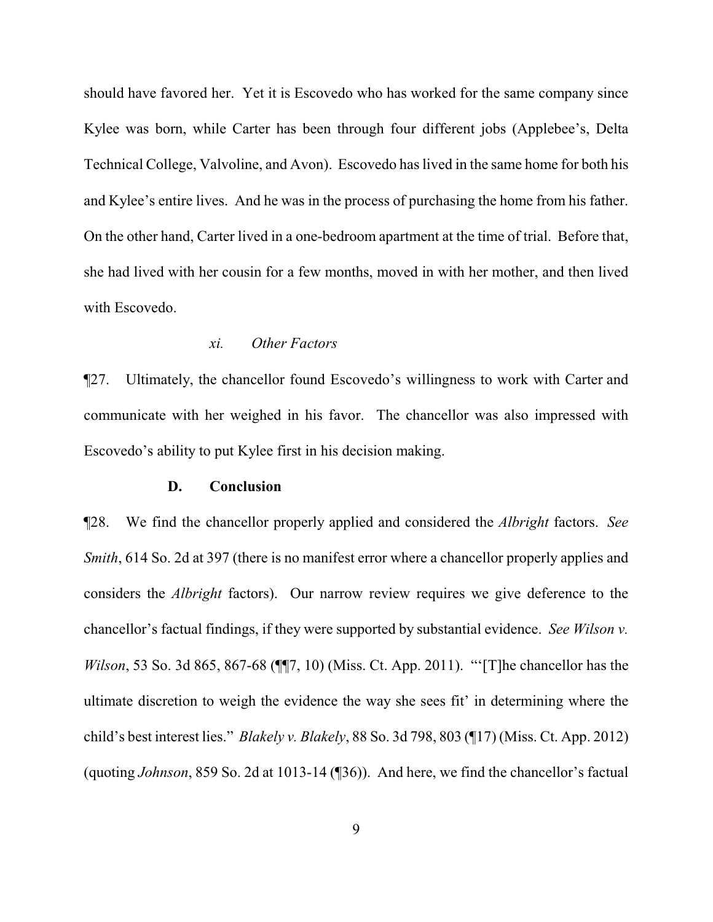should have favored her. Yet it is Escovedo who has worked for the same company since Kylee was born, while Carter has been through four different jobs (Applebee's, Delta Technical College, Valvoline, and Avon). Escovedo has lived in the same home for both his and Kylee's entire lives. And he was in the process of purchasing the home from his father. On the other hand, Carter lived in a one-bedroom apartment at the time of trial. Before that, she had lived with her cousin for a few months, moved in with her mother, and then lived with Escovedo.

#### *xi. Other Factors*

¶27. Ultimately, the chancellor found Escovedo's willingness to work with Carter and communicate with her weighed in his favor. The chancellor was also impressed with Escovedo's ability to put Kylee first in his decision making.

### **D. Conclusion**

¶28. We find the chancellor properly applied and considered the *Albright* factors. *See Smith*, 614 So. 2d at 397 (there is no manifest error where a chancellor properly applies and considers the *Albright* factors). Our narrow review requires we give deference to the chancellor's factual findings, if they were supported by substantial evidence. *See Wilson v. Wilson*, 53 So. 3d 865, 867-68 (¶¶7, 10) (Miss. Ct. App. 2011). "'[T]he chancellor has the ultimate discretion to weigh the evidence the way she sees fit' in determining where the child's best interest lies." *Blakely v. Blakely*, 88 So. 3d 798, 803 (¶17) (Miss. Ct. App. 2012) (quoting *Johnson*, 859 So. 2d at 1013-14 (¶36)). And here, we find the chancellor's factual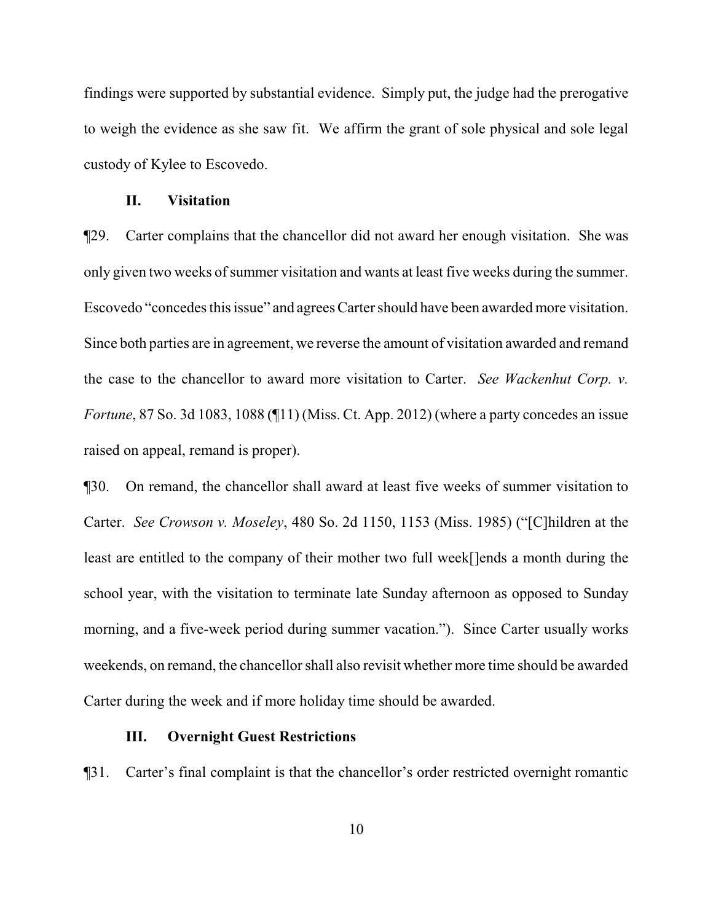findings were supported by substantial evidence. Simply put, the judge had the prerogative to weigh the evidence as she saw fit. We affirm the grant of sole physical and sole legal custody of Kylee to Escovedo.

### **II. Visitation**

¶29. Carter complains that the chancellor did not award her enough visitation. She was only given two weeks of summer visitation and wants at least five weeks during the summer. Escovedo "concedes this issue" and agrees Carter should have been awarded more visitation. Since both parties are in agreement, we reverse the amount of visitation awarded and remand the case to the chancellor to award more visitation to Carter. *See Wackenhut Corp. v. Fortune*, 87 So. 3d 1083, 1088 (¶11) (Miss. Ct. App. 2012) (where a party concedes an issue raised on appeal, remand is proper).

¶30. On remand, the chancellor shall award at least five weeks of summer visitation to Carter. *See Crowson v. Moseley*, 480 So. 2d 1150, 1153 (Miss. 1985) ("[C]hildren at the least are entitled to the company of their mother two full week[]ends a month during the school year, with the visitation to terminate late Sunday afternoon as opposed to Sunday morning, and a five-week period during summer vacation."). Since Carter usually works weekends, on remand, the chancellor shall also revisit whether more time should be awarded Carter during the week and if more holiday time should be awarded.

### **III. Overnight Guest Restrictions**

¶31. Carter's final complaint is that the chancellor's order restricted overnight romantic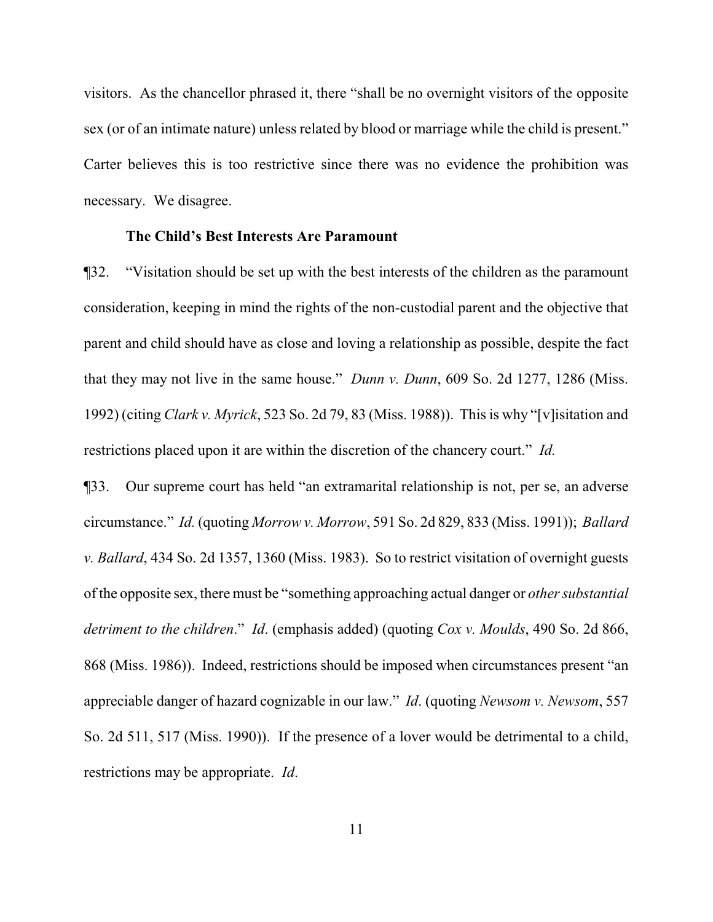visitors. As the chancellor phrased it, there "shall be no overnight visitors of the opposite sex (or of an intimate nature) unless related by blood or marriage while the child is present." Carter believes this is too restrictive since there was no evidence the prohibition was necessary. We disagree.

#### **The Child's Best Interests Are Paramount**

¶32. "Visitation should be set up with the best interests of the children as the paramount consideration, keeping in mind the rights of the non-custodial parent and the objective that parent and child should have as close and loving a relationship as possible, despite the fact that they may not live in the same house." *Dunn v. Dunn*, 609 So. 2d 1277, 1286 (Miss. 1992) (citing *Clark v. Myrick*, 523 So. 2d 79, 83 (Miss. 1988)). This is why "[v]isitation and restrictions placed upon it are within the discretion of the chancery court." *Id.* 

¶33. Our supreme court has held "an extramarital relationship is not, per se, an adverse circumstance." *Id.* (quoting *Morrow v. Morrow*, 591 So. 2d 829, 833 (Miss. 1991)); *Ballard v. Ballard*, 434 So. 2d 1357, 1360 (Miss. 1983). So to restrict visitation of overnight guests of the opposite sex, there must be "something approaching actual danger or *other substantial detriment to the children*." *Id*. (emphasis added) (quoting *Cox v. Moulds*, 490 So. 2d 866, 868 (Miss. 1986)). Indeed, restrictions should be imposed when circumstances present "an appreciable danger of hazard cognizable in our law." *Id*. (quoting *Newsom v. Newsom*, 557 So. 2d 511, 517 (Miss. 1990)). If the presence of a lover would be detrimental to a child, restrictions may be appropriate. *Id*.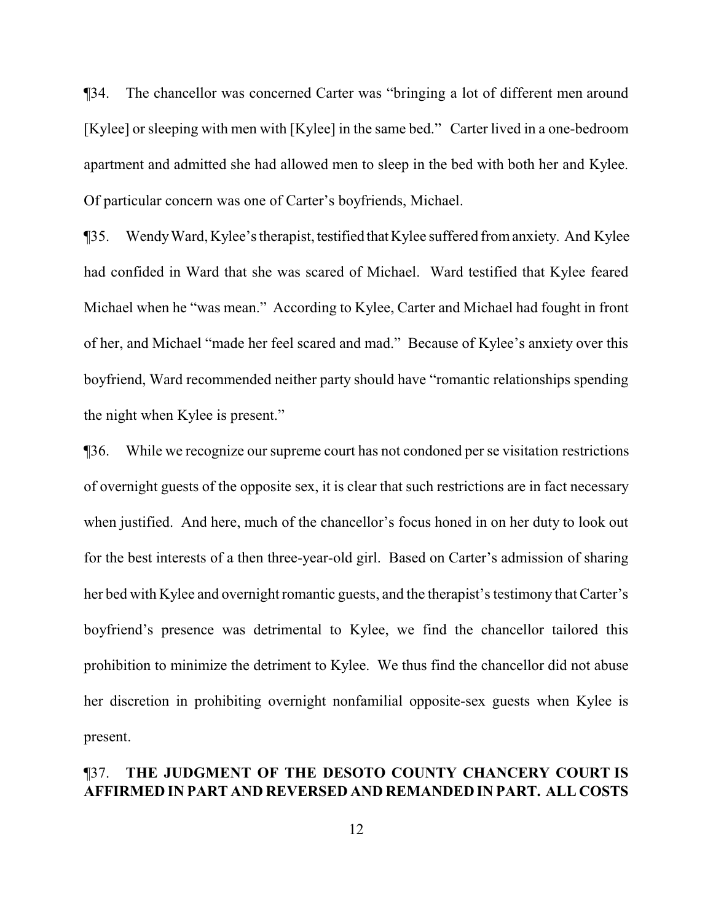¶34. The chancellor was concerned Carter was "bringing a lot of different men around [Kylee] or sleeping with men with [Kylee] in the same bed." Carter lived in a one-bedroom apartment and admitted she had allowed men to sleep in the bed with both her and Kylee. Of particular concern was one of Carter's boyfriends, Michael.

¶35. WendyWard, Kylee's therapist, testified thatKylee suffered fromanxiety. And Kylee had confided in Ward that she was scared of Michael. Ward testified that Kylee feared Michael when he "was mean." According to Kylee, Carter and Michael had fought in front of her, and Michael "made her feel scared and mad." Because of Kylee's anxiety over this boyfriend, Ward recommended neither party should have "romantic relationships spending the night when Kylee is present."

¶36. While we recognize our supreme court has not condoned per se visitation restrictions of overnight guests of the opposite sex, it is clear that such restrictions are in fact necessary when justified. And here, much of the chancellor's focus honed in on her duty to look out for the best interests of a then three-year-old girl. Based on Carter's admission of sharing her bed with Kylee and overnight romantic guests, and the therapist's testimony that Carter's boyfriend's presence was detrimental to Kylee, we find the chancellor tailored this prohibition to minimize the detriment to Kylee. We thus find the chancellor did not abuse her discretion in prohibiting overnight nonfamilial opposite-sex guests when Kylee is present.

## ¶37. **THE JUDGMENT OF THE DESOTO COUNTY CHANCERY COURT IS AFFIRMED IN PART AND REVERSED AND REMANDED IN PART. ALL COSTS**